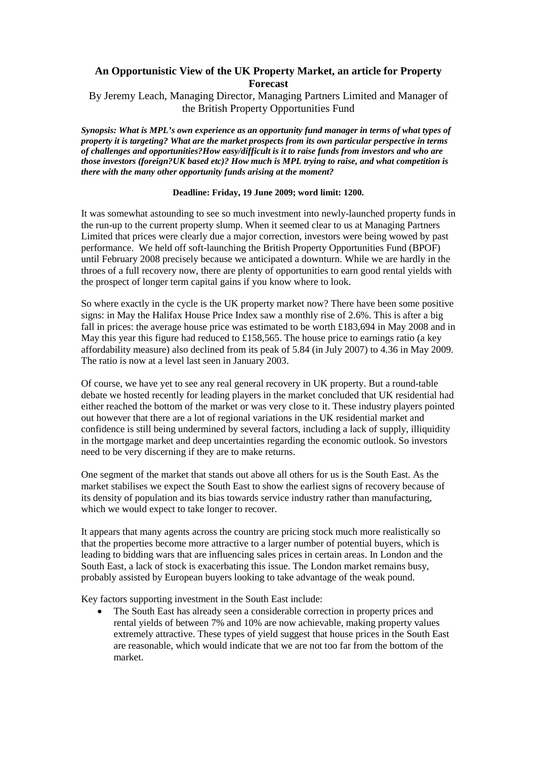## **An Opportunistic View of the UK Property Market, an article for Property Forecast**

## By Jeremy Leach, Managing Director, Managing Partners Limited and Manager of the British Property Opportunities Fund

*Synopsis: What is MPL's own experience as an opportunity fund manager in terms of what types of property it is targeting? What are the market prospects from its own particular perspective in terms of challenges and opportunities?How easy/difficult is it to raise funds from investors and who are those investors (foreign?UK based etc)? How much is MPL trying to raise, and what competition is there with the many other opportunity funds arising at the moment?* 

## **Deadline: Friday, 19 June 2009; word limit: 1200.**

It was somewhat astounding to see so much investment into newly-launched property funds in the run-up to the current property slump. When it seemed clear to us at Managing Partners Limited that prices were clearly due a major correction, investors were being wowed by past performance. We held off soft-launching the British Property Opportunities Fund (BPOF) until February 2008 precisely because we anticipated a downturn. While we are hardly in the throes of a full recovery now, there are plenty of opportunities to earn good rental yields with the prospect of longer term capital gains if you know where to look.

So where exactly in the cycle is the UK property market now? There have been some positive signs: in May the Halifax House Price Index saw a monthly rise of 2.6%. This is after a big fall in prices: the average house price was estimated to be worth  $\pounds183,694$  in May 2008 and in May this year this figure had reduced to £158,565. The house price to earnings ratio (a key affordability measure) also declined from its peak of 5.84 (in July 2007) to 4.36 in May 2009. The ratio is now at a level last seen in January 2003.

Of course, we have yet to see any real general recovery in UK property. But a round-table debate we hosted recently for leading players in the market concluded that UK residential had either reached the bottom of the market or was very close to it. These industry players pointed out however that there are a lot of regional variations in the UK residential market and confidence is still being undermined by several factors, including a lack of supply, illiquidity in the mortgage market and deep uncertainties regarding the economic outlook. So investors need to be very discerning if they are to make returns.

One segment of the market that stands out above all others for us is the South East. As the market stabilises we expect the South East to show the earliest signs of recovery because of its density of population and its bias towards service industry rather than manufacturing, which we would expect to take longer to recover.

It appears that many agents across the country are pricing stock much more realistically so that the properties become more attractive to a larger number of potential buyers, which is leading to bidding wars that are influencing sales prices in certain areas. In London and the South East, a lack of stock is exacerbating this issue. The London market remains busy, probably assisted by European buyers looking to take advantage of the weak pound.

Key factors supporting investment in the South East include:

• The South East has already seen a considerable correction in property prices and rental yields of between 7% and 10% are now achievable, making property values extremely attractive. These types of yield suggest that house prices in the South East are reasonable, which would indicate that we are not too far from the bottom of the market.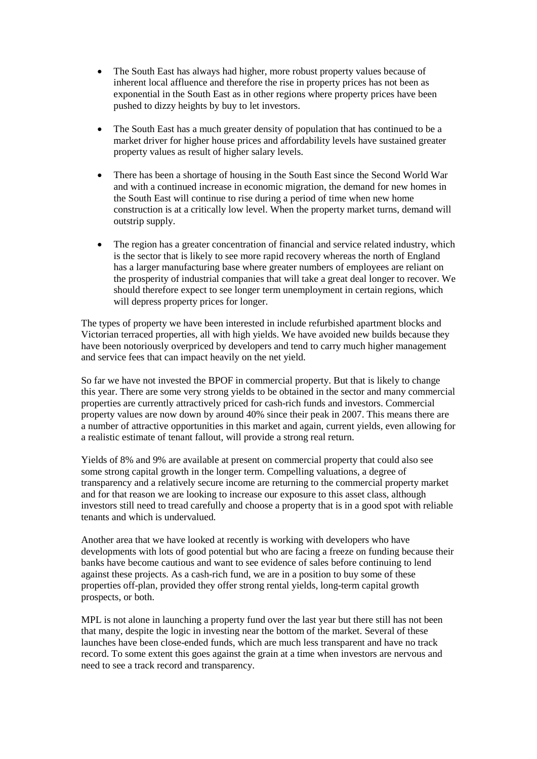- The South East has always had higher, more robust property values because of inherent local affluence and therefore the rise in property prices has not been as exponential in the South East as in other regions where property prices have been pushed to dizzy heights by buy to let investors.
- The South East has a much greater density of population that has continued to be a market driver for higher house prices and affordability levels have sustained greater property values as result of higher salary levels.
- There has been a shortage of housing in the South East since the Second World War and with a continued increase in economic migration, the demand for new homes in the South East will continue to rise during a period of time when new home construction is at a critically low level. When the property market turns, demand will outstrip supply.
- The region has a greater concentration of financial and service related industry, which is the sector that is likely to see more rapid recovery whereas the north of England has a larger manufacturing base where greater numbers of employees are reliant on the prosperity of industrial companies that will take a great deal longer to recover. We should therefore expect to see longer term unemployment in certain regions, which will depress property prices for longer.

The types of property we have been interested in include refurbished apartment blocks and Victorian terraced properties, all with high yields. We have avoided new builds because they have been notoriously overpriced by developers and tend to carry much higher management and service fees that can impact heavily on the net yield.

So far we have not invested the BPOF in commercial property. But that is likely to change this year. There are some very strong yields to be obtained in the sector and many commercial properties are currently attractively priced for cash-rich funds and investors. Commercial property values are now down by around 40% since their peak in 2007. This means there are a number of attractive opportunities in this market and again, current yields, even allowing for a realistic estimate of tenant fallout, will provide a strong real return.

Yields of 8% and 9% are available at present on commercial property that could also see some strong capital growth in the longer term. Compelling valuations, a degree of transparency and a relatively secure income are returning to the commercial property market and for that reason we are looking to increase our exposure to this asset class, although investors still need to tread carefully and choose a property that is in a good spot with reliable tenants and which is undervalued.

Another area that we have looked at recently is working with developers who have developments with lots of good potential but who are facing a freeze on funding because their banks have become cautious and want to see evidence of sales before continuing to lend against these projects. As a cash-rich fund, we are in a position to buy some of these properties off-plan, provided they offer strong rental yields, long-term capital growth prospects, or both.

MPL is not alone in launching a property fund over the last year but there still has not been that many, despite the logic in investing near the bottom of the market. Several of these launches have been close-ended funds, which are much less transparent and have no track record. To some extent this goes against the grain at a time when investors are nervous and need to see a track record and transparency.